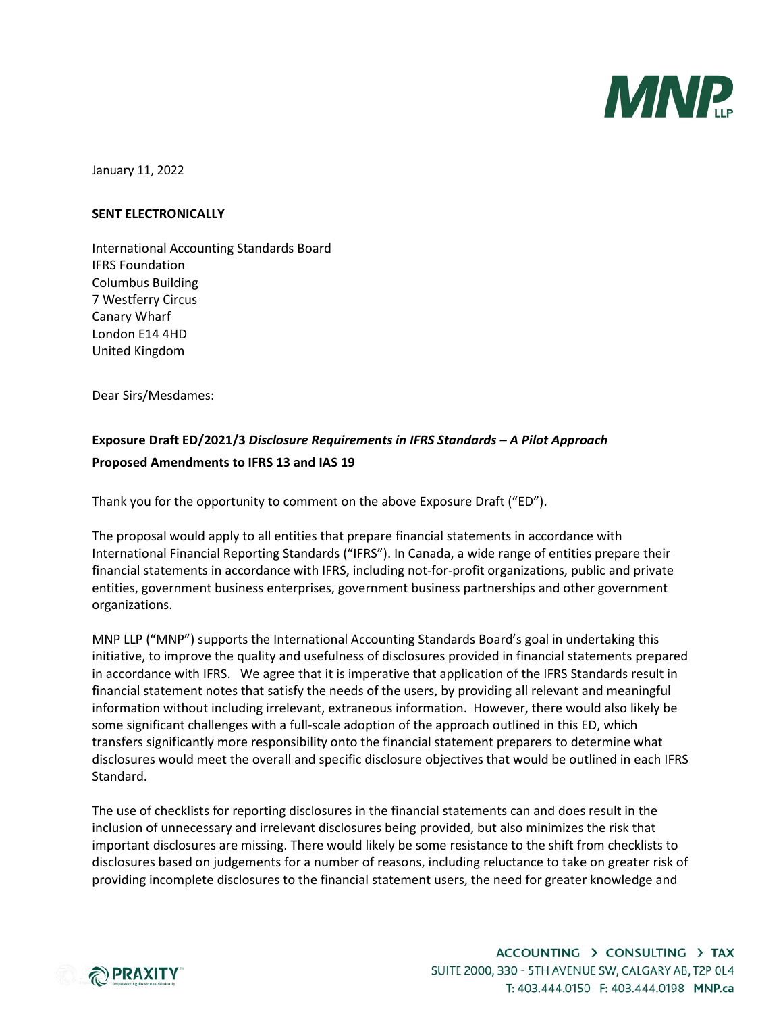

January 11, 2022

### **SENT ELECTRONICALLY**

International Accounting Standards Board IFRS Foundation Columbus Building 7 Westferry Circus Canary Wharf London E14 4HD United Kingdom

Dear Sirs/Mesdames:

# **Exposure Draft ED/2021/3** *Disclosure Requirements in IFRS Standards – A Pilot Approach* **Proposed Amendments to IFRS 13 and IAS 19**

Thank you for the opportunity to comment on the above Exposure Draft ("ED").

The proposal would apply to all entities that prepare financial statements in accordance with International Financial Reporting Standards ("IFRS"). In Canada, a wide range of entities prepare their financial statements in accordance with IFRS, including not-for-profit organizations, public and private entities, government business enterprises, government business partnerships and other government organizations.

MNP LLP ("MNP") supports the International Accounting Standards Board's goal in undertaking this initiative, to improve the quality and usefulness of disclosures provided in financial statements prepared in accordance with IFRS. We agree that it is imperative that application of the IFRS Standards result in financial statement notes that satisfy the needs of the users, by providing all relevant and meaningful information without including irrelevant, extraneous information. However, there would also likely be some significant challenges with a full-scale adoption of the approach outlined in this ED, which transfers significantly more responsibility onto the financial statement preparers to determine what disclosures would meet the overall and specific disclosure objectives that would be outlined in each IFRS Standard.

The use of checklists for reporting disclosures in the financial statements can and does result in the inclusion of unnecessary and irrelevant disclosures being provided, but also minimizes the risk that important disclosures are missing. There would likely be some resistance to the shift from checklists to disclosures based on judgements for a number of reasons, including reluctance to take on greater risk of providing incomplete disclosures to the financial statement users, the need for greater knowledge and

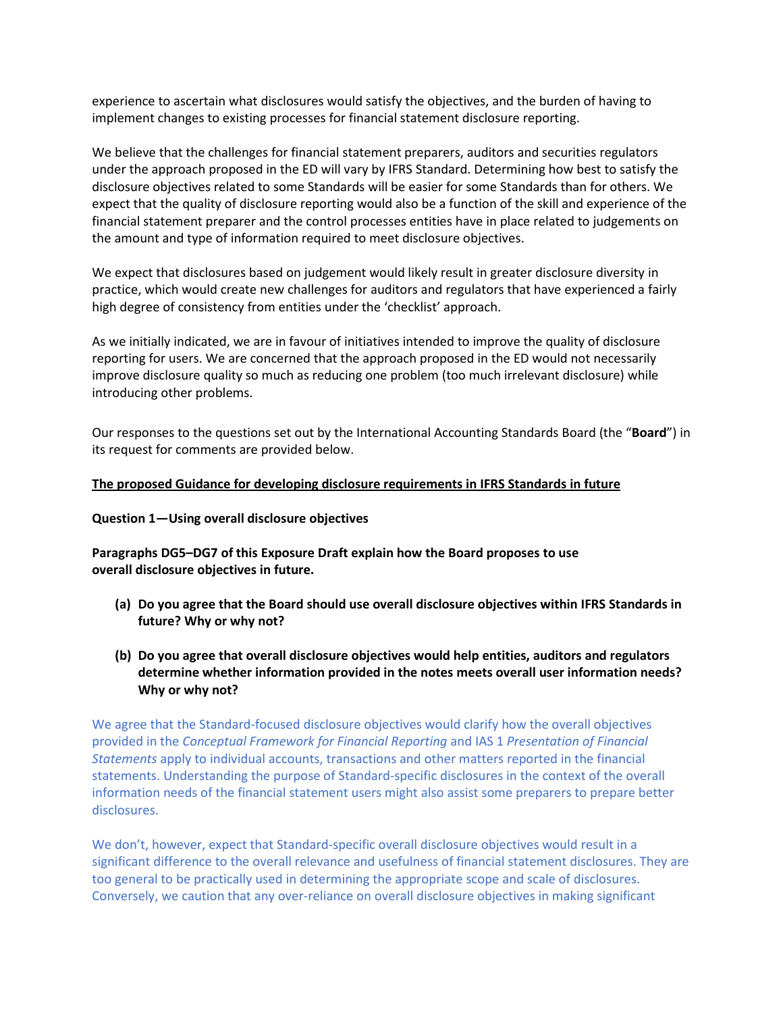experience to ascertain what disclosures would satisfy the objectives, and the burden of having to implement changes to existing processes for financial statement disclosure reporting.

We believe that the challenges for financial statement preparers, auditors and securities regulators under the approach proposed in the ED will vary by IFRS Standard. Determining how best to satisfy the disclosure objectives related to some Standards will be easier for some Standards than for others. We expect that the quality of disclosure reporting would also be a function of the skill and experience of the financial statement preparer and the control processes entities have in place related to judgements on the amount and type of information required to meet disclosure objectives.

We expect that disclosures based on judgement would likely result in greater disclosure diversity in practice, which would create new challenges for auditors and regulators that have experienced a fairly high degree of consistency from entities under the 'checklist' approach.

As we initially indicated, we are in favour of initiatives intended to improve the quality of disclosure reporting for users. We are concerned that the approach proposed in the ED would not necessarily improve disclosure quality so much as reducing one problem (too much irrelevant disclosure) while introducing other problems.

Our responses to the questions set out by the International Accounting Standards Board (the "**Board**") in its request for comments are provided below.

### **The proposed Guidance for developing disclosure requirements in IFRS Standards in future**

### **Question 1—Using overall disclosure objectives**

**Paragraphs DG5–DG7 of this Exposure Draft explain how the Board proposes to use overall disclosure objectives in future.** 

- **(a) Do you agree that the Board should use overall disclosure objectives within IFRS Standards in future? Why or why not?**
- **(b) Do you agree that overall disclosure objectives would help entities, auditors and regulators determine whether information provided in the notes meets overall user information needs? Why or why not?**

We agree that the Standard-focused disclosure objectives would clarify how the overall objectives provided in the *Conceptual Framework for Financial Reporting* and IAS 1 *Presentation of Financial Statements* apply to individual accounts, transactions and other matters reported in the financial statements. Understanding the purpose of Standard-specific disclosures in the context of the overall information needs of the financial statement users might also assist some preparers to prepare better disclosures.

We don't, however, expect that Standard-specific overall disclosure objectives would result in a significant difference to the overall relevance and usefulness of financial statement disclosures. They are too general to be practically used in determining the appropriate scope and scale of disclosures. Conversely, we caution that any over-reliance on overall disclosure objectives in making significant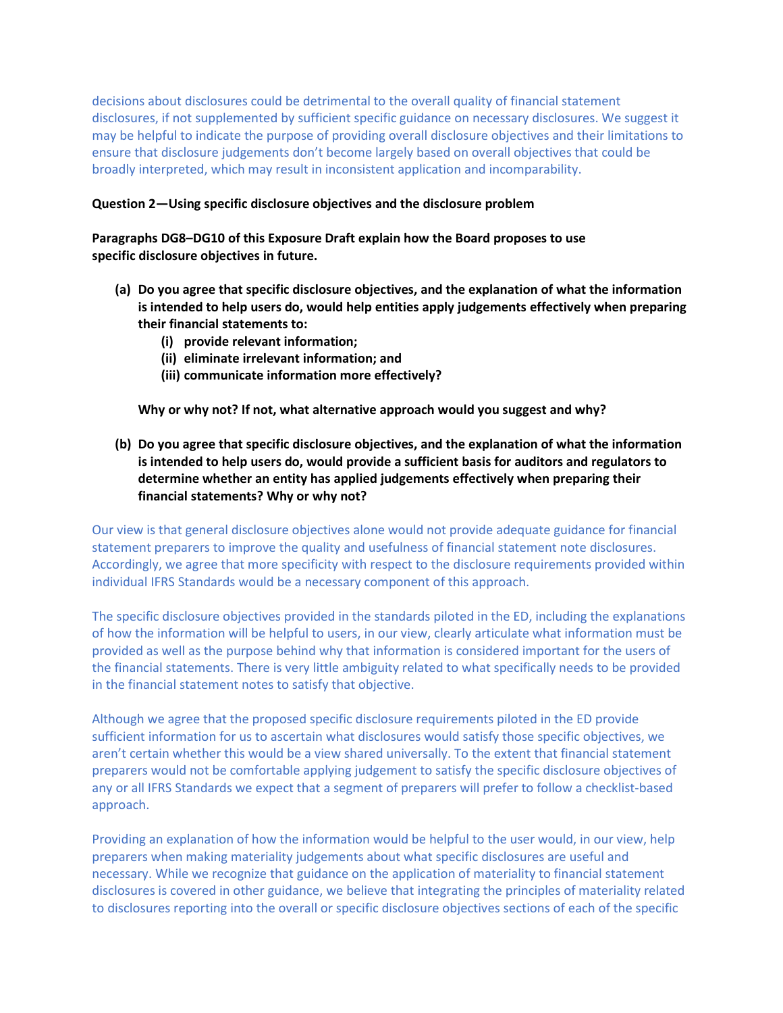decisions about disclosures could be detrimental to the overall quality of financial statement disclosures, if not supplemented by sufficient specific guidance on necessary disclosures. We suggest it may be helpful to indicate the purpose of providing overall disclosure objectives and their limitations to ensure that disclosure judgements don't become largely based on overall objectives that could be broadly interpreted, which may result in inconsistent application and incomparability.

### **Question 2—Using specific disclosure objectives and the disclosure problem**

# **Paragraphs DG8–DG10 of this Exposure Draft explain how the Board proposes to use specific disclosure objectives in future.**

- **(a) Do you agree that specific disclosure objectives, and the explanation of what the information is intended to help users do, would help entities apply judgements effectively when preparing their financial statements to:**
	- **(i) provide relevant information;**
	- **(ii) eliminate irrelevant information; and**
	- **(iii) communicate information more effectively?**

**Why or why not? If not, what alternative approach would you suggest and why?**

**(b) Do you agree that specific disclosure objectives, and the explanation of what the information is intended to help users do, would provide a sufficient basis for auditors and regulators to determine whether an entity has applied judgements effectively when preparing their financial statements? Why or why not?**

Our view is that general disclosure objectives alone would not provide adequate guidance for financial statement preparers to improve the quality and usefulness of financial statement note disclosures. Accordingly, we agree that more specificity with respect to the disclosure requirements provided within individual IFRS Standards would be a necessary component of this approach.

The specific disclosure objectives provided in the standards piloted in the ED, including the explanations of how the information will be helpful to users, in our view, clearly articulate what information must be provided as well as the purpose behind why that information is considered important for the users of the financial statements. There is very little ambiguity related to what specifically needs to be provided in the financial statement notes to satisfy that objective.

Although we agree that the proposed specific disclosure requirements piloted in the ED provide sufficient information for us to ascertain what disclosures would satisfy those specific objectives, we aren't certain whether this would be a view shared universally. To the extent that financial statement preparers would not be comfortable applying judgement to satisfy the specific disclosure objectives of any or all IFRS Standards we expect that a segment of preparers will prefer to follow a checklist-based approach.

Providing an explanation of how the information would be helpful to the user would, in our view, help preparers when making materiality judgements about what specific disclosures are useful and necessary. While we recognize that guidance on the application of materiality to financial statement disclosures is covered in other guidance, we believe that integrating the principles of materiality related to disclosures reporting into the overall or specific disclosure objectives sections of each of the specific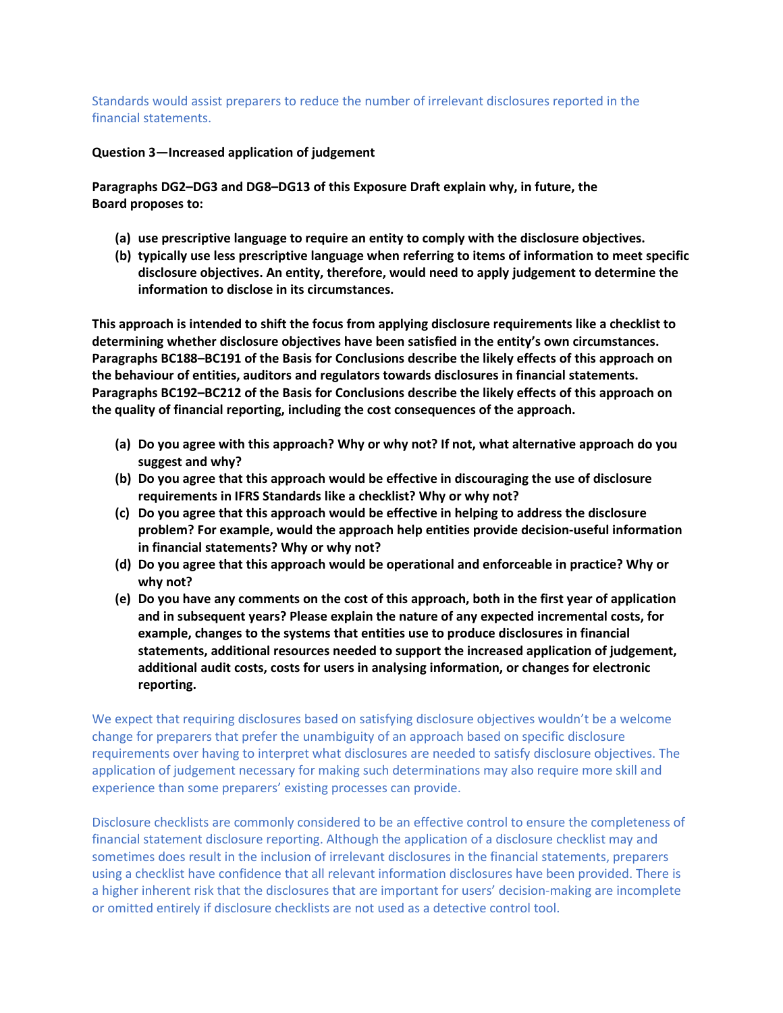Standards would assist preparers to reduce the number of irrelevant disclosures reported in the financial statements.

**Question 3—Increased application of judgement**

**Paragraphs DG2–DG3 and DG8–DG13 of this Exposure Draft explain why, in future, the Board proposes to:**

- **(a) use prescriptive language to require an entity to comply with the disclosure objectives.**
- **(b) typically use less prescriptive language when referring to items of information to meet specific disclosure objectives. An entity, therefore, would need to apply judgement to determine the information to disclose in its circumstances.**

**This approach is intended to shift the focus from applying disclosure requirements like a checklist to determining whether disclosure objectives have been satisfied in the entity's own circumstances. Paragraphs BC188–BC191 of the Basis for Conclusions describe the likely effects of this approach on the behaviour of entities, auditors and regulators towards disclosures in financial statements. Paragraphs BC192–BC212 of the Basis for Conclusions describe the likely effects of this approach on the quality of financial reporting, including the cost consequences of the approach.**

- **(a) Do you agree with this approach? Why or why not? If not, what alternative approach do you suggest and why?**
- **(b) Do you agree that this approach would be effective in discouraging the use of disclosure requirements in IFRS Standards like a checklist? Why or why not?**
- **(c) Do you agree that this approach would be effective in helping to address the disclosure problem? For example, would the approach help entities provide decision-useful information in financial statements? Why or why not?**
- **(d) Do you agree that this approach would be operational and enforceable in practice? Why or why not?**
- **(e) Do you have any comments on the cost of this approach, both in the first year of application and in subsequent years? Please explain the nature of any expected incremental costs, for example, changes to the systems that entities use to produce disclosures in financial statements, additional resources needed to support the increased application of judgement, additional audit costs, costs for users in analysing information, or changes for electronic reporting.**

We expect that requiring disclosures based on satisfying disclosure objectives wouldn't be a welcome change for preparers that prefer the unambiguity of an approach based on specific disclosure requirements over having to interpret what disclosures are needed to satisfy disclosure objectives. The application of judgement necessary for making such determinations may also require more skill and experience than some preparers' existing processes can provide.

Disclosure checklists are commonly considered to be an effective control to ensure the completeness of financial statement disclosure reporting. Although the application of a disclosure checklist may and sometimes does result in the inclusion of irrelevant disclosures in the financial statements, preparers using a checklist have confidence that all relevant information disclosures have been provided. There is a higher inherent risk that the disclosures that are important for users' decision-making are incomplete or omitted entirely if disclosure checklists are not used as a detective control tool.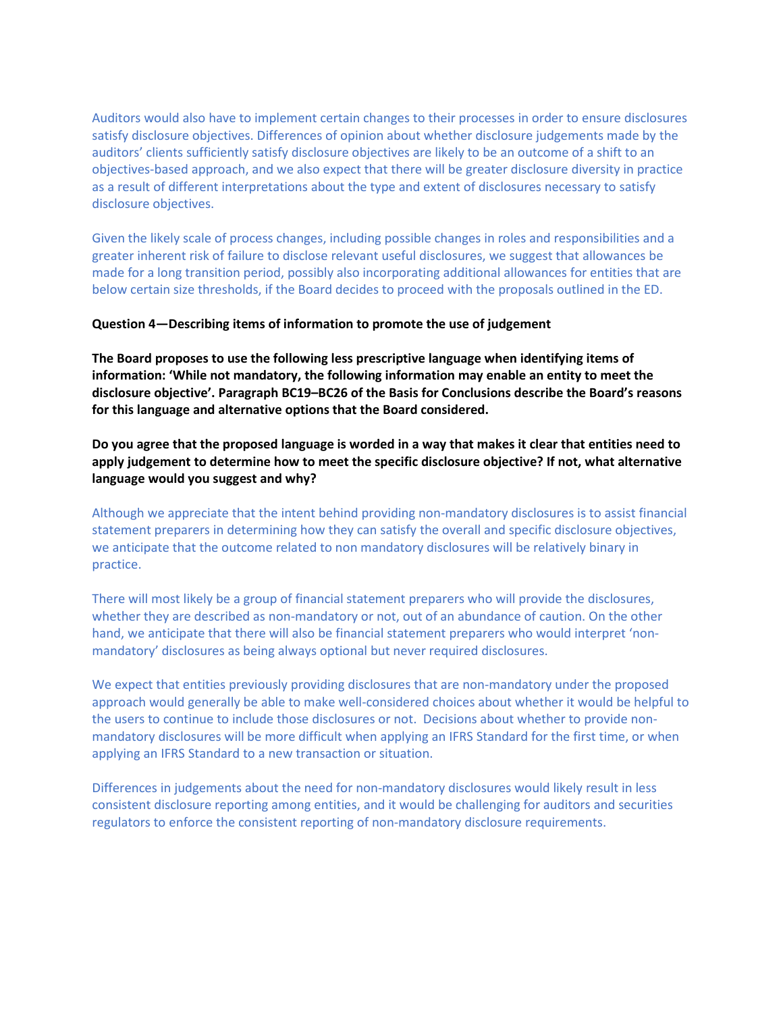Auditors would also have to implement certain changes to their processes in order to ensure disclosures satisfy disclosure objectives. Differences of opinion about whether disclosure judgements made by the auditors' clients sufficiently satisfy disclosure objectives are likely to be an outcome of a shift to an objectives-based approach, and we also expect that there will be greater disclosure diversity in practice as a result of different interpretations about the type and extent of disclosures necessary to satisfy disclosure objectives.

Given the likely scale of process changes, including possible changes in roles and responsibilities and a greater inherent risk of failure to disclose relevant useful disclosures, we suggest that allowances be made for a long transition period, possibly also incorporating additional allowances for entities that are below certain size thresholds, if the Board decides to proceed with the proposals outlined in the ED.

### **Question 4—Describing items of information to promote the use of judgement**

**The Board proposes to use the following less prescriptive language when identifying items of information: 'While not mandatory, the following information may enable an entity to meet the disclosure objective'. Paragraph BC19–BC26 of the Basis for Conclusions describe the Board's reasons for this language and alternative options that the Board considered.**

**Do you agree that the proposed language is worded in a way that makes it clear that entities need to apply judgement to determine how to meet the specific disclosure objective? If not, what alternative language would you suggest and why?**

Although we appreciate that the intent behind providing non-mandatory disclosures is to assist financial statement preparers in determining how they can satisfy the overall and specific disclosure objectives, we anticipate that the outcome related to non mandatory disclosures will be relatively binary in practice.

There will most likely be a group of financial statement preparers who will provide the disclosures, whether they are described as non-mandatory or not, out of an abundance of caution. On the other hand, we anticipate that there will also be financial statement preparers who would interpret 'nonmandatory' disclosures as being always optional but never required disclosures.

We expect that entities previously providing disclosures that are non-mandatory under the proposed approach would generally be able to make well-considered choices about whether it would be helpful to the users to continue to include those disclosures or not. Decisions about whether to provide nonmandatory disclosures will be more difficult when applying an IFRS Standard for the first time, or when applying an IFRS Standard to a new transaction or situation.

Differences in judgements about the need for non-mandatory disclosures would likely result in less consistent disclosure reporting among entities, and it would be challenging for auditors and securities regulators to enforce the consistent reporting of non-mandatory disclosure requirements.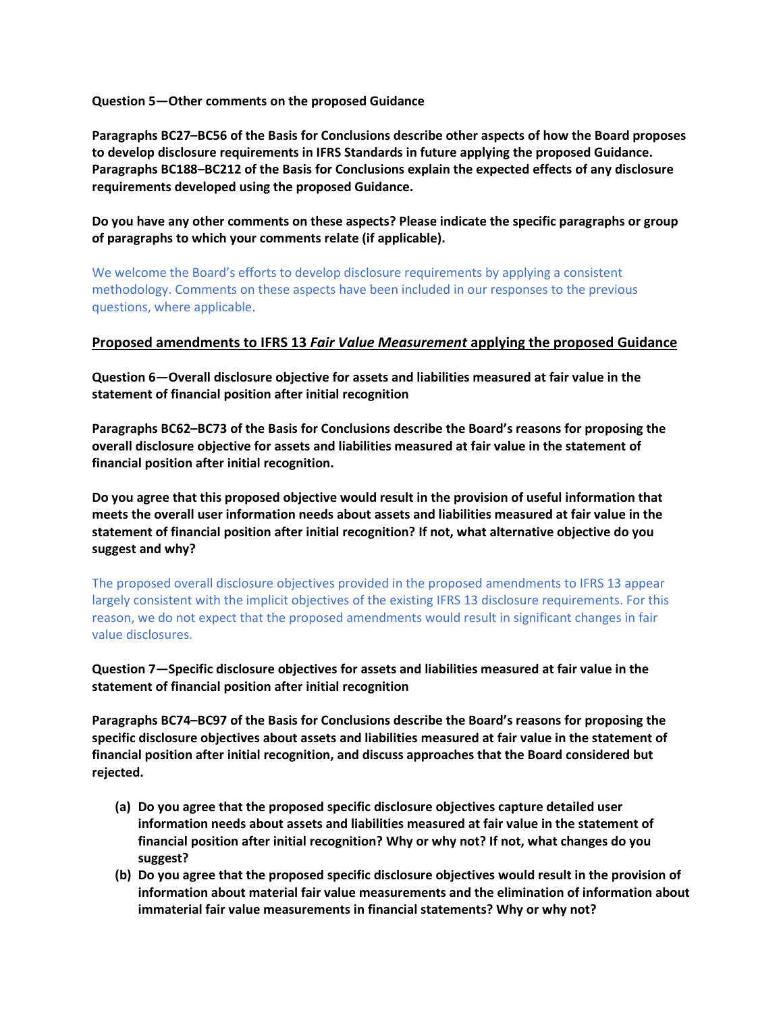**Question 5—Other comments on the proposed Guidance**

**Paragraphs BC27–BC56 of the Basis for Conclusions describe other aspects of how the Board proposes to develop disclosure requirements in IFRS Standards in future applying the proposed Guidance. Paragraphs BC188–BC212 of the Basis for Conclusions explain the expected effects of any disclosure requirements developed using the proposed Guidance.**

**Do you have any other comments on these aspects? Please indicate the specific paragraphs or group of paragraphs to which your comments relate (if applicable).**

We welcome the Board's efforts to develop disclosure requirements by applying a consistent methodology. Comments on these aspects have been included in our responses to the previous questions, where applicable.

## **Proposed amendments to IFRS 13** *Fair Value Measurement* **applying the proposed Guidance**

**Question 6—Overall disclosure objective for assets and liabilities measured at fair value in the statement of financial position after initial recognition**

**Paragraphs BC62–BC73 of the Basis for Conclusions describe the Board's reasons for proposing the overall disclosure objective for assets and liabilities measured at fair value in the statement of financial position after initial recognition.**

**Do you agree that this proposed objective would result in the provision of useful information that meets the overall user information needs about assets and liabilities measured at fair value in the statement of financial position after initial recognition? If not, what alternative objective do you suggest and why?**

The proposed overall disclosure objectives provided in the proposed amendments to IFRS 13 appear largely consistent with the implicit objectives of the existing IFRS 13 disclosure requirements. For this reason, we do not expect that the proposed amendments would result in significant changes in fair value disclosures.

**Question 7—Specific disclosure objectives for assets and liabilities measured at fair value in the statement of financial position after initial recognition**

**Paragraphs BC74–BC97 of the Basis for Conclusions describe the Board's reasons for proposing the specific disclosure objectives about assets and liabilities measured at fair value in the statement of financial position after initial recognition, and discuss approaches that the Board considered but rejected.**

- **(a) Do you agree that the proposed specific disclosure objectives capture detailed user information needs about assets and liabilities measured at fair value in the statement of financial position after initial recognition? Why or why not? If not, what changes do you suggest?**
- **(b) Do you agree that the proposed specific disclosure objectives would result in the provision of information about material fair value measurements and the elimination of information about immaterial fair value measurements in financial statements? Why or why not?**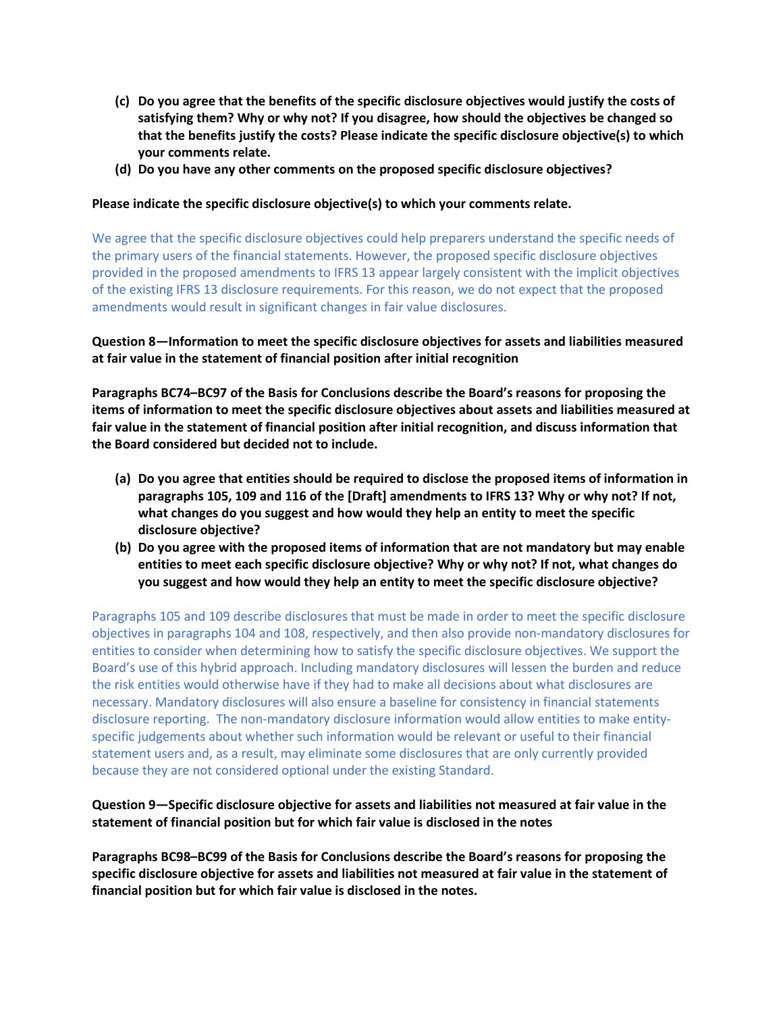- **(c) Do you agree that the benefits of the specific disclosure objectives would justify the costs of satisfying them? Why or why not? If you disagree, how should the objectives be changed so that the benefits justify the costs? Please indicate the specific disclosure objective(s) to which your comments relate.**
- **(d) Do you have any other comments on the proposed specific disclosure objectives?**

## **Please indicate the specific disclosure objective(s) to which your comments relate.**

We agree that the specific disclosure objectives could help preparers understand the specific needs of the primary users of the financial statements. However, the proposed specific disclosure objectives provided in the proposed amendments to IFRS 13 appear largely consistent with the implicit objectives of the existing IFRS 13 disclosure requirements. For this reason, we do not expect that the proposed amendments would result in significant changes in fair value disclosures.

# **Question 8—Information to meet the specific disclosure objectives for assets and liabilities measured at fair value in the statement of financial position after initial recognition**

**Paragraphs BC74–BC97 of the Basis for Conclusions describe the Board's reasons for proposing the items of information to meet the specific disclosure objectives about assets and liabilities measured at fair value in the statement of financial position after initial recognition, and discuss information that the Board considered but decided not to include.**

- **(a) Do you agree that entities should be required to disclose the proposed items of information in paragraphs 105, 109 and 116 of the [Draft] amendments to IFRS 13? Why or why not? If not, what changes do you suggest and how would they help an entity to meet the specific disclosure objective?**
- **(b) Do you agree with the proposed items of information that are not mandatory but may enable entities to meet each specific disclosure objective? Why or why not? If not, what changes do you suggest and how would they help an entity to meet the specific disclosure objective?**

Paragraphs 105 and 109 describe disclosures that must be made in order to meet the specific disclosure objectives in paragraphs 104 and 108, respectively, and then also provide non-mandatory disclosures for entities to consider when determining how to satisfy the specific disclosure objectives. We support the Board's use of this hybrid approach. Including mandatory disclosures will lessen the burden and reduce the risk entities would otherwise have if they had to make all decisions about what disclosures are necessary. Mandatory disclosures will also ensure a baseline for consistency in financial statements disclosure reporting. The non-mandatory disclosure information would allow entities to make entityspecific judgements about whether such information would be relevant or useful to their financial statement users and, as a result, may eliminate some disclosures that are only currently provided because they are not considered optional under the existing Standard.

# **Question 9—Specific disclosure objective for assets and liabilities not measured at fair value in the statement of financial position but for which fair value is disclosed in the notes**

**Paragraphs BC98–BC99 of the Basis for Conclusions describe the Board's reasons for proposing the specific disclosure objective for assets and liabilities not measured at fair value in the statement of financial position but for which fair value is disclosed in the notes.**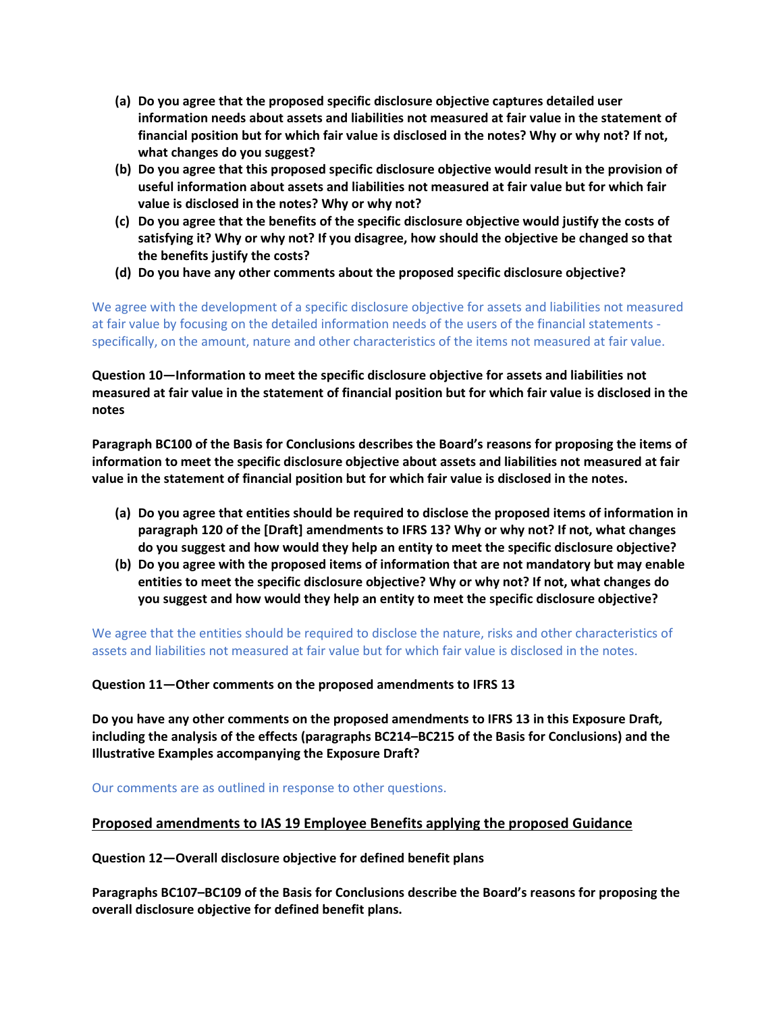- **(a) Do you agree that the proposed specific disclosure objective captures detailed user information needs about assets and liabilities not measured at fair value in the statement of financial position but for which fair value is disclosed in the notes? Why or why not? If not, what changes do you suggest?**
- **(b) Do you agree that this proposed specific disclosure objective would result in the provision of useful information about assets and liabilities not measured at fair value but for which fair value is disclosed in the notes? Why or why not?**
- **(c) Do you agree that the benefits of the specific disclosure objective would justify the costs of satisfying it? Why or why not? If you disagree, how should the objective be changed so that the benefits justify the costs?**
- **(d) Do you have any other comments about the proposed specific disclosure objective?**

We agree with the development of a specific disclosure objective for assets and liabilities not measured at fair value by focusing on the detailed information needs of the users of the financial statements specifically, on the amount, nature and other characteristics of the items not measured at fair value.

**Question 10—Information to meet the specific disclosure objective for assets and liabilities not measured at fair value in the statement of financial position but for which fair value is disclosed in the notes** 

**Paragraph BC100 of the Basis for Conclusions describes the Board's reasons for proposing the items of information to meet the specific disclosure objective about assets and liabilities not measured at fair value in the statement of financial position but for which fair value is disclosed in the notes.**

- **(a) Do you agree that entities should be required to disclose the proposed items of information in paragraph 120 of the [Draft] amendments to IFRS 13? Why or why not? If not, what changes do you suggest and how would they help an entity to meet the specific disclosure objective?**
- **(b) Do you agree with the proposed items of information that are not mandatory but may enable entities to meet the specific disclosure objective? Why or why not? If not, what changes do you suggest and how would they help an entity to meet the specific disclosure objective?**

We agree that the entities should be required to disclose the nature, risks and other characteristics of assets and liabilities not measured at fair value but for which fair value is disclosed in the notes.

**Question 11—Other comments on the proposed amendments to IFRS 13**

**Do you have any other comments on the proposed amendments to IFRS 13 in this Exposure Draft, including the analysis of the effects (paragraphs BC214–BC215 of the Basis for Conclusions) and the Illustrative Examples accompanying the Exposure Draft?**

Our comments are as outlined in response to other questions.

## **Proposed amendments to IAS 19 Employee Benefits applying the proposed Guidance**

**Question 12—Overall disclosure objective for defined benefit plans**

**Paragraphs BC107–BC109 of the Basis for Conclusions describe the Board's reasons for proposing the overall disclosure objective for defined benefit plans.**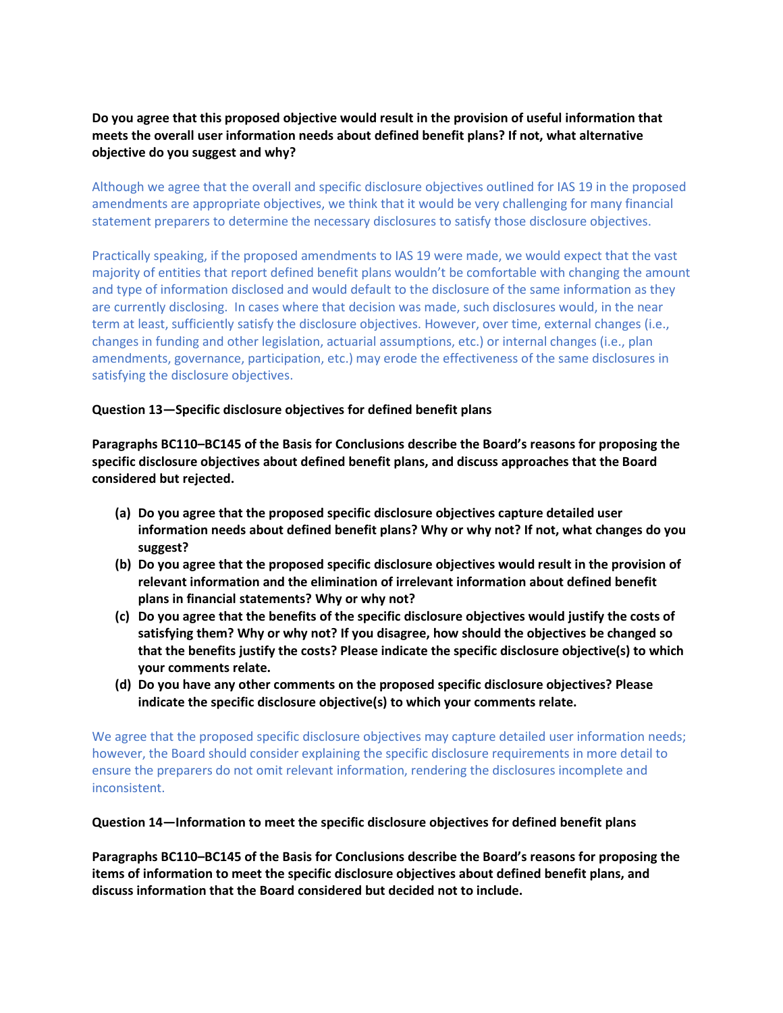# **Do you agree that this proposed objective would result in the provision of useful information that meets the overall user information needs about defined benefit plans? If not, what alternative objective do you suggest and why?**

Although we agree that the overall and specific disclosure objectives outlined for IAS 19 in the proposed amendments are appropriate objectives, we think that it would be very challenging for many financial statement preparers to determine the necessary disclosures to satisfy those disclosure objectives.

Practically speaking, if the proposed amendments to IAS 19 were made, we would expect that the vast majority of entities that report defined benefit plans wouldn't be comfortable with changing the amount and type of information disclosed and would default to the disclosure of the same information as they are currently disclosing. In cases where that decision was made, such disclosures would, in the near term at least, sufficiently satisfy the disclosure objectives. However, over time, external changes (i.e., changes in funding and other legislation, actuarial assumptions, etc.) or internal changes (i.e., plan amendments, governance, participation, etc.) may erode the effectiveness of the same disclosures in satisfying the disclosure objectives.

### **Question 13—Specific disclosure objectives for defined benefit plans**

**Paragraphs BC110–BC145 of the Basis for Conclusions describe the Board's reasons for proposing the specific disclosure objectives about defined benefit plans, and discuss approaches that the Board considered but rejected.**

- **(a) Do you agree that the proposed specific disclosure objectives capture detailed user information needs about defined benefit plans? Why or why not? If not, what changes do you suggest?**
- **(b) Do you agree that the proposed specific disclosure objectives would result in the provision of relevant information and the elimination of irrelevant information about defined benefit plans in financial statements? Why or why not?**
- **(c) Do you agree that the benefits of the specific disclosure objectives would justify the costs of satisfying them? Why or why not? If you disagree, how should the objectives be changed so that the benefits justify the costs? Please indicate the specific disclosure objective(s) to which your comments relate.**
- **(d) Do you have any other comments on the proposed specific disclosure objectives? Please indicate the specific disclosure objective(s) to which your comments relate.**

We agree that the proposed specific disclosure objectives may capture detailed user information needs; however, the Board should consider explaining the specific disclosure requirements in more detail to ensure the preparers do not omit relevant information, rendering the disclosures incomplete and inconsistent.

### **Question 14—Information to meet the specific disclosure objectives for defined benefit plans**

**Paragraphs BC110–BC145 of the Basis for Conclusions describe the Board's reasons for proposing the items of information to meet the specific disclosure objectives about defined benefit plans, and discuss information that the Board considered but decided not to include.**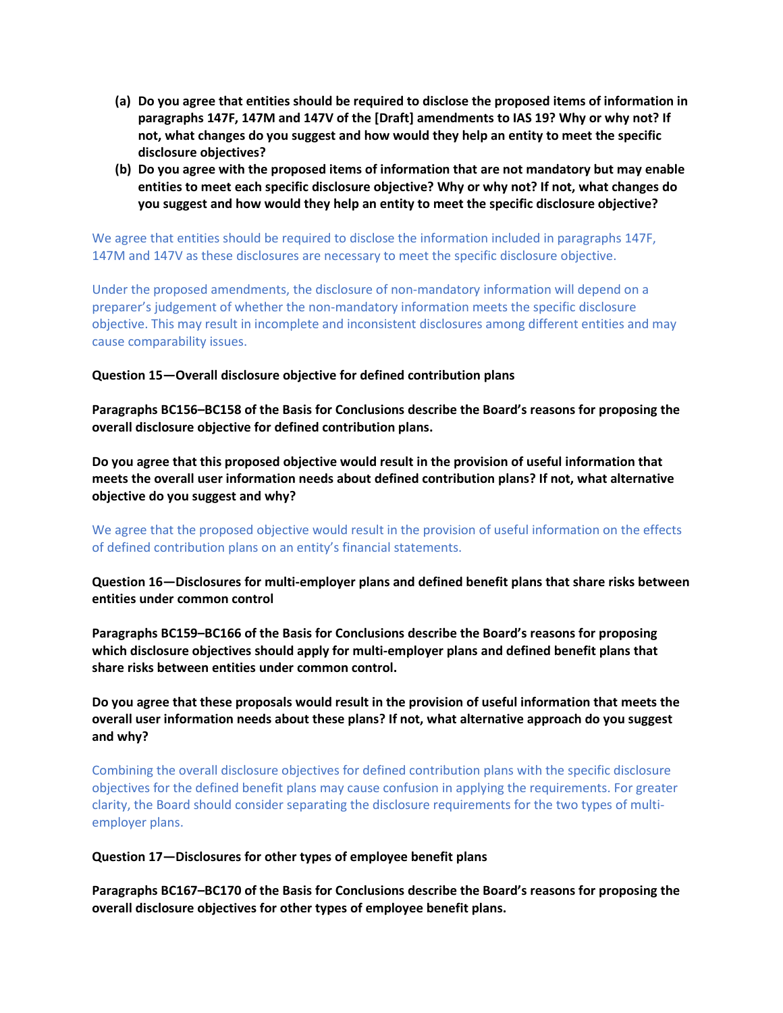- **(a) Do you agree that entities should be required to disclose the proposed items of information in paragraphs 147F, 147M and 147V of the [Draft] amendments to IAS 19? Why or why not? If not, what changes do you suggest and how would they help an entity to meet the specific disclosure objectives?**
- **(b) Do you agree with the proposed items of information that are not mandatory but may enable entities to meet each specific disclosure objective? Why or why not? If not, what changes do you suggest and how would they help an entity to meet the specific disclosure objective?**

We agree that entities should be required to disclose the information included in paragraphs 147F, 147M and 147V as these disclosures are necessary to meet the specific disclosure objective.

Under the proposed amendments, the disclosure of non-mandatory information will depend on a preparer's judgement of whether the non-mandatory information meets the specific disclosure objective. This may result in incomplete and inconsistent disclosures among different entities and may cause comparability issues.

### **Question 15—Overall disclosure objective for defined contribution plans**

**Paragraphs BC156–BC158 of the Basis for Conclusions describe the Board's reasons for proposing the overall disclosure objective for defined contribution plans.**

**Do you agree that this proposed objective would result in the provision of useful information that meets the overall user information needs about defined contribution plans? If not, what alternative objective do you suggest and why?**

We agree that the proposed objective would result in the provision of useful information on the effects of defined contribution plans on an entity's financial statements.

**Question 16—Disclosures for multi-employer plans and defined benefit plans that share risks between entities under common control**

**Paragraphs BC159–BC166 of the Basis for Conclusions describe the Board's reasons for proposing which disclosure objectives should apply for multi-employer plans and defined benefit plans that share risks between entities under common control.**

**Do you agree that these proposals would result in the provision of useful information that meets the overall user information needs about these plans? If not, what alternative approach do you suggest and why?**

Combining the overall disclosure objectives for defined contribution plans with the specific disclosure objectives for the defined benefit plans may cause confusion in applying the requirements. For greater clarity, the Board should consider separating the disclosure requirements for the two types of multiemployer plans.

### **Question 17—Disclosures for other types of employee benefit plans**

**Paragraphs BC167–BC170 of the Basis for Conclusions describe the Board's reasons for proposing the overall disclosure objectives for other types of employee benefit plans.**